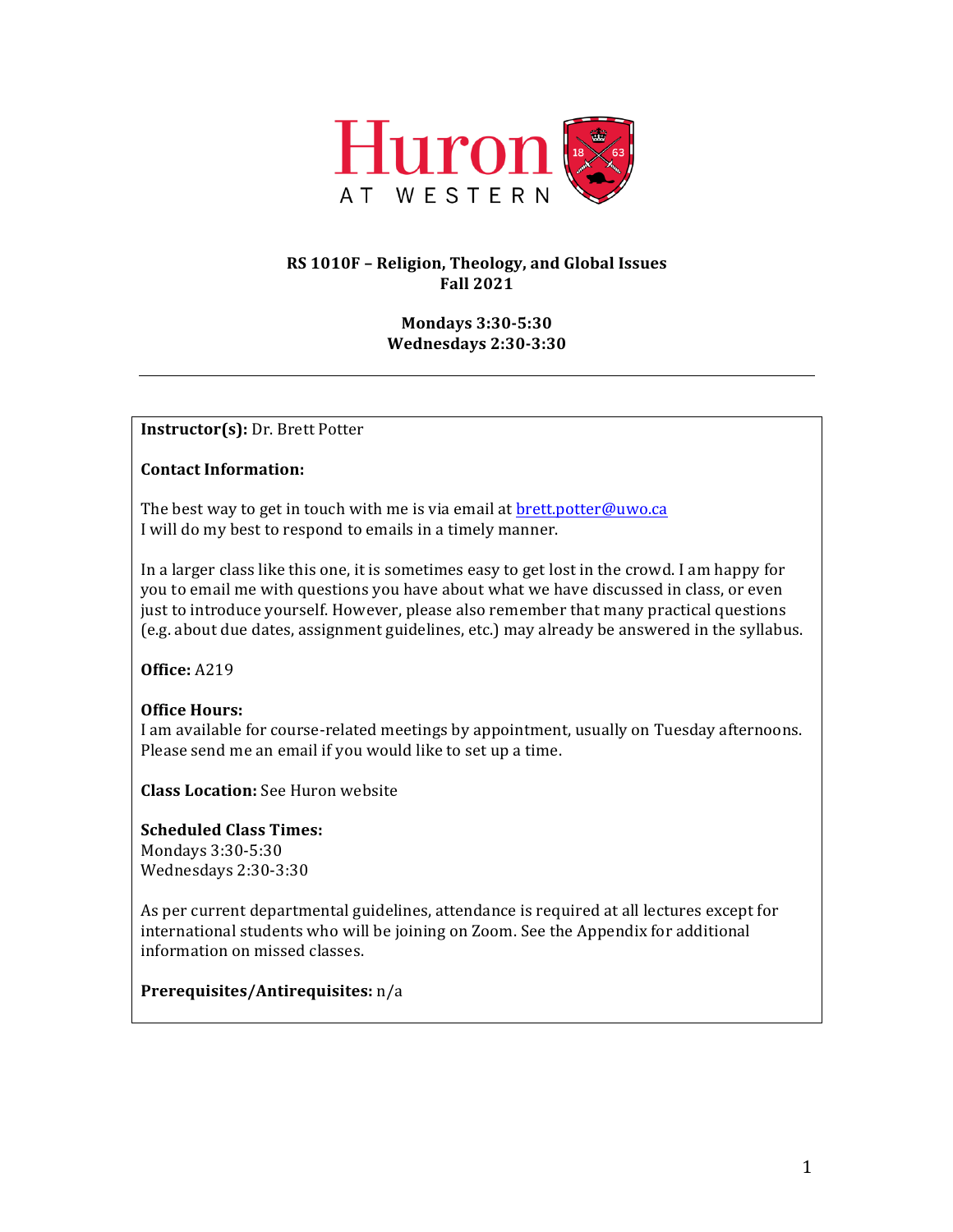

# **RS 1010F – Religion, Theology, and Global Issues Fall 2021**

## **Mondays 3:30-5:30 Wednesdays 2:30-3:30**

**Instructor(s):** Dr. Brett Potter

## **Contact Information:**

The best way to get in touch with me is via email at  $bret$ .potter@uwo.ca I will do my best to respond to emails in a timely manner.

In a larger class like this one, it is sometimes easy to get lost in the crowd. I am happy for you to email me with questions you have about what we have discussed in class, or even just to introduce yourself. However, please also remember that many practical questions (e.g. about due dates, assignment guidelines, etc.) may already be answered in the syllabus.

**Office:** A219

# **Office Hours:**

I am available for course-related meetings by appointment, usually on Tuesday afternoons. Please send me an email if you would like to set up a time.

**Class Location:** See Huron website

**Scheduled Class Times:** Mondays 3:30-5:30 Wednesdays 2:30-3:30

As per current departmental guidelines, attendance is required at all lectures except for international students who will be joining on Zoom. See the Appendix for additional information on missed classes.

**Prerequisites/Antirequisites:** n/a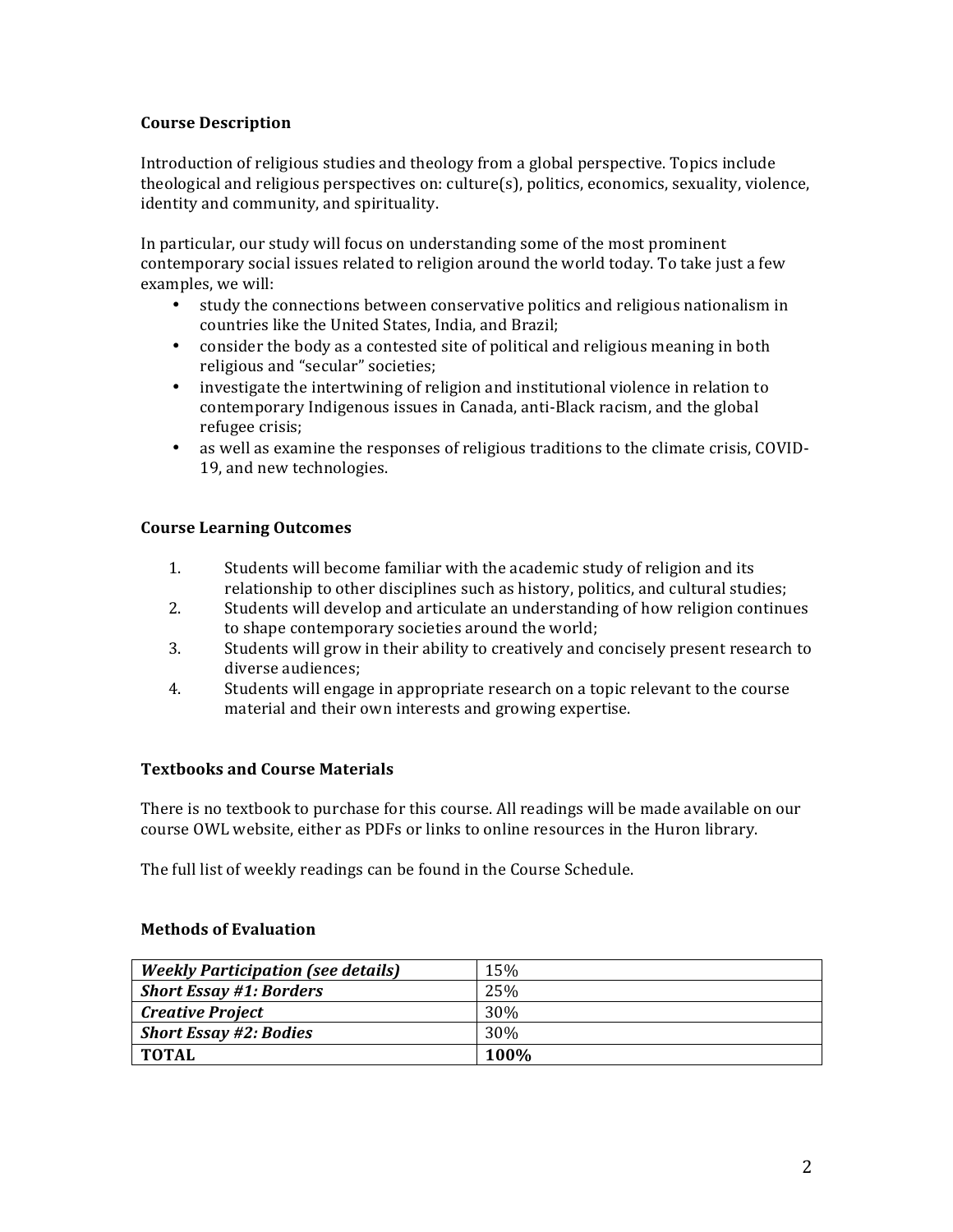## **Course Description**

Introduction of religious studies and theology from a global perspective. Topics include theological and religious perspectives on: culture $(s)$ , politics, economics, sexuality, violence, identity and community, and spirituality.

In particular, our study will focus on understanding some of the most prominent contemporary social issues related to religion around the world today. To take just a few examples, we will:

- study the connections between conservative politics and religious nationalism in countries like the United States, India, and Brazil;
- consider the body as a contested site of political and religious meaning in both religious and "secular" societies;
- investigate the intertwining of religion and institutional violence in relation to contemporary Indigenous issues in Canada, anti-Black racism, and the global refugee crisis;
- as well as examine the responses of religious traditions to the climate crisis, COVID-19, and new technologies.

## **Course Learning Outcomes**

- 1. Students will become familiar with the academic study of religion and its relationship to other disciplines such as history, politics, and cultural studies;
- 2. Students will develop and articulate an understanding of how religion continues to shape contemporary societies around the world;
- 3. Students will grow in their ability to creatively and concisely present research to diverse audiences;
- 4. Students will engage in appropriate research on a topic relevant to the course material and their own interests and growing expertise.

# **Textbooks and Course Materials**

There is no textbook to purchase for this course. All readings will be made available on our course OWL website, either as PDFs or links to online resources in the Huron library.

The full list of weekly readings can be found in the Course Schedule.

## **Methods of Evaluation**

| <b>Weekly Participation (see details)</b> | 15%             |
|-------------------------------------------|-----------------|
| <b>Short Essay #1: Borders</b>            | 25%             |
| <b>Creative Project</b>                   | 30%             |
| <b>Short Essay #2: Bodies</b>             | 30 <sup>%</sup> |
| TOTAL                                     | 100%            |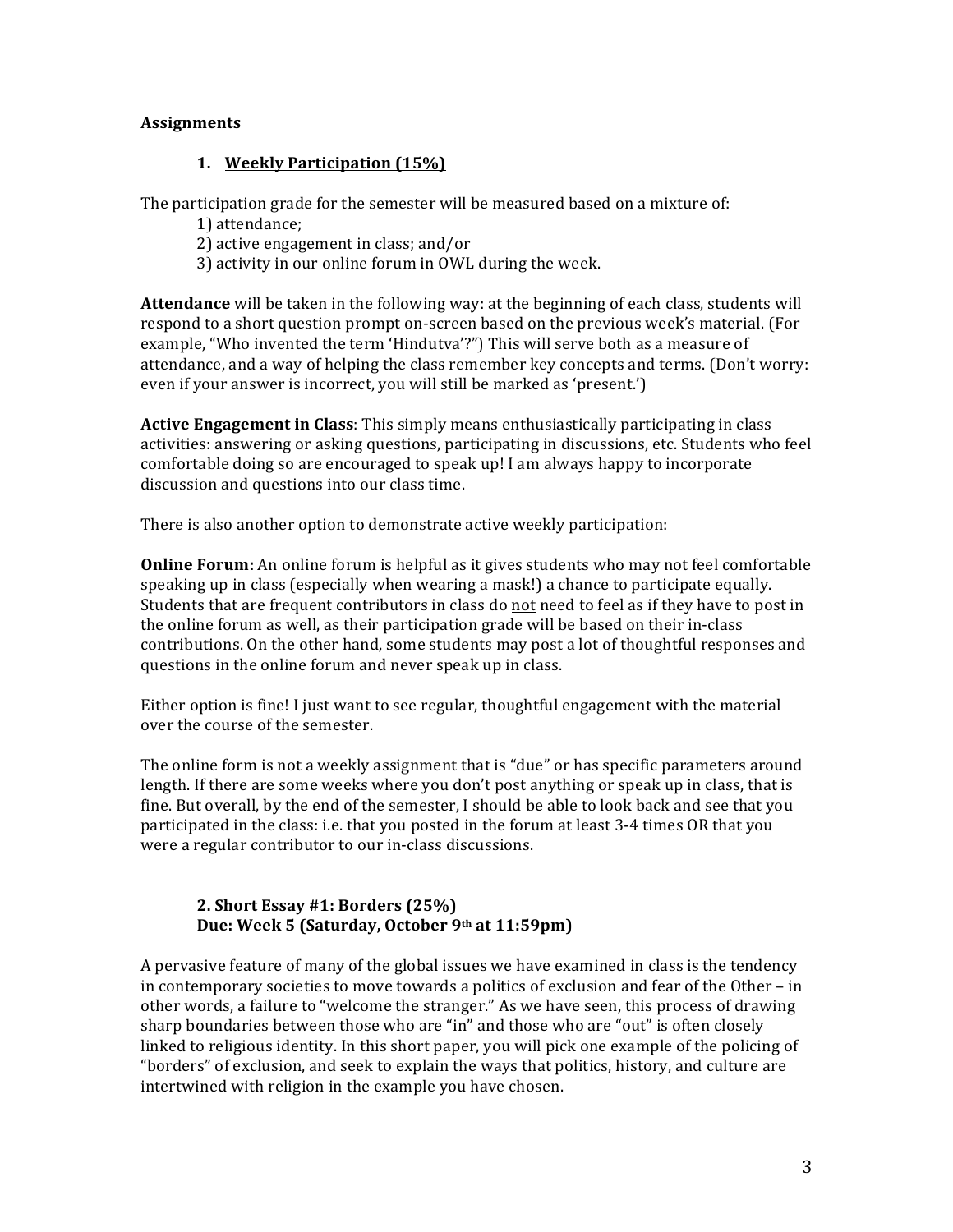## **Assignments**

## **1. Weekly Participation (15%)**

The participation grade for the semester will be measured based on a mixture of:

1) attendance;

2) active engagement in class; and/or

3) activity in our online forum in OWL during the week.

**Attendance** will be taken in the following way: at the beginning of each class, students will respond to a short question prompt on-screen based on the previous week's material. (For example, "Who invented the term 'Hindutva'?") This will serve both as a measure of attendance, and a way of helping the class remember key concepts and terms. (Don't worry: even if your answer is incorrect, you will still be marked as 'present.')

**Active Engagement in Class**: This simply means enthusiastically participating in class activities: answering or asking questions, participating in discussions, etc. Students who feel comfortable doing so are encouraged to speak up! I am always happy to incorporate discussion and questions into our class time.

There is also another option to demonstrate active weekly participation:

**Online Forum:** An online forum is helpful as it gives students who may not feel comfortable speaking up in class (especially when wearing a mask!) a chance to participate equally. Students that are frequent contributors in class do not need to feel as if they have to post in the online forum as well, as their participation grade will be based on their in-class contributions. On the other hand, some students may post a lot of thoughtful responses and questions in the online forum and never speak up in class.

Either option is fine! I just want to see regular, thoughtful engagement with the material over the course of the semester.

The online form is not a weekly assignment that is "due" or has specific parameters around length. If there are some weeks where you don't post anything or speak up in class, that is fine. But overall, by the end of the semester, I should be able to look back and see that you participated in the class: i.e. that you posted in the forum at least 3-4 times OR that you were a regular contributor to our in-class discussions.

# **2. Short Essay #1: Borders (25%) Due: Week 5 (Saturday, October 9th at 11:59pm)**

A pervasive feature of many of the global issues we have examined in class is the tendency in contemporary societies to move towards a politics of exclusion and fear of the Other – in other words, a failure to "welcome the stranger." As we have seen, this process of drawing sharp boundaries between those who are "in" and those who are "out" is often closely linked to religious identity. In this short paper, you will pick one example of the policing of "borders" of exclusion, and seek to explain the ways that politics, history, and culture are intertwined with religion in the example you have chosen.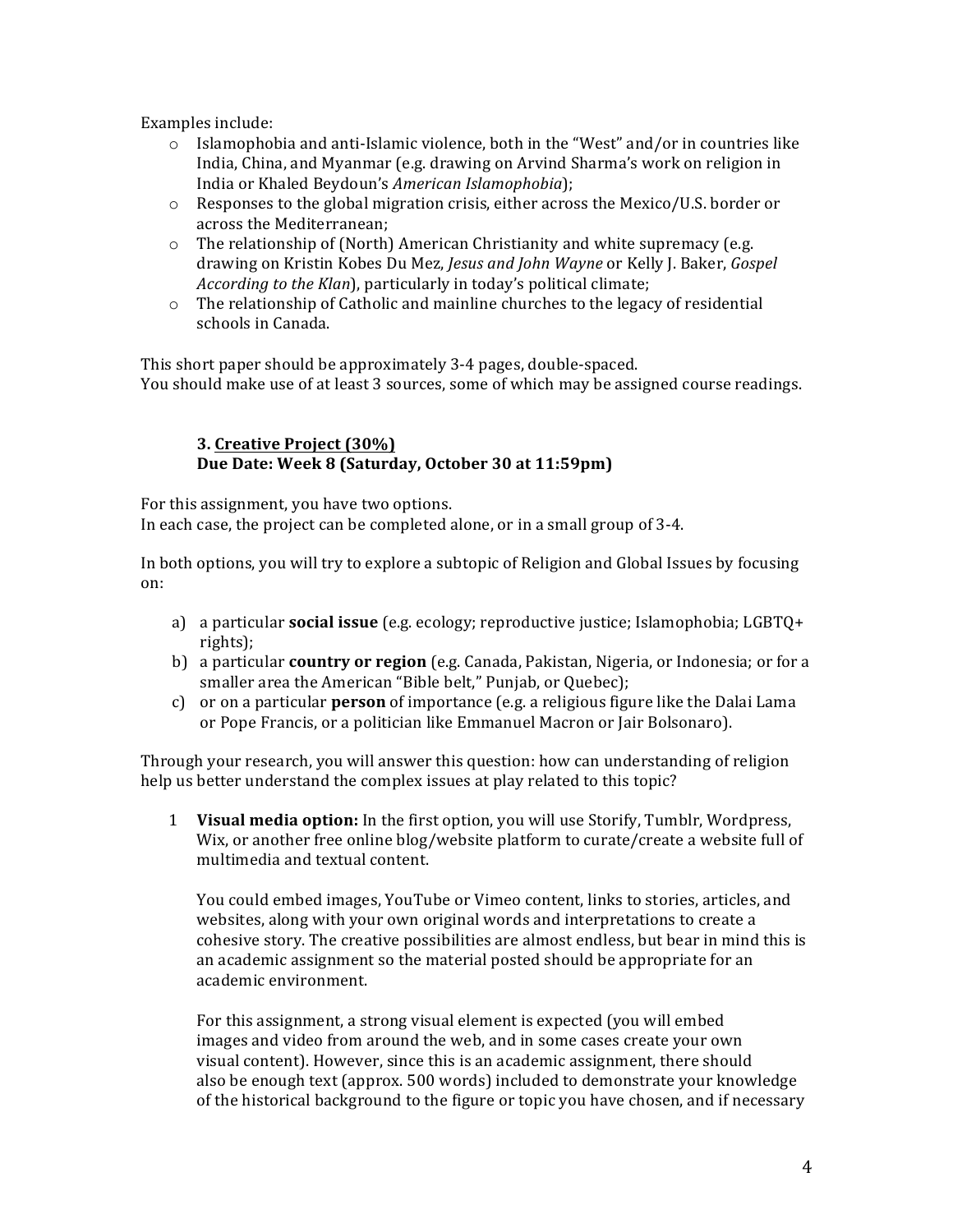Examples include:

- $\circ$  Islamophobia and anti-Islamic violence, both in the "West" and/or in countries like India, China, and Myanmar (e.g. drawing on Arvind Sharma's work on religion in India or Khaled Beydoun's *American Islamophobia*);
- $\circ$  Responses to the global migration crisis, either across the Mexico/U.S. border or across the Mediterranean;
- $\circ$  The relationship of (North) American Christianity and white supremacy (e.g. drawing on Kristin Kobes Du Mez, *Jesus and John Wayne* or Kelly J. Baker, *Gospel According to the Klan*), particularly in today's political climate;
- $\circ$  The relationship of Catholic and mainline churches to the legacy of residential schools in Canada.

This short paper should be approximately 3-4 pages, double-spaced. You should make use of at least 3 sources, some of which may be assigned course readings.

## **3. Creative Project (30%)** Due Date: Week 8 (Saturday, October 30 at 11:59pm)

For this assignment, you have two options. In each case, the project can be completed alone, or in a small group of 3-4.

In both options, you will try to explore a subtopic of Religion and Global Issues by focusing on:

- a) a particular **social issue** (e.g. ecology; reproductive justice; Islamophobia; LGBTQ+ rights);
- b) a particular **country or region** (e.g. Canada, Pakistan, Nigeria, or Indonesia; or for a smaller area the American "Bible belt," Punjab, or Quebec);
- c) or on a particular **person** of importance (e.g. a religious figure like the Dalai Lama or Pope Francis, or a politician like Emmanuel Macron or Jair Bolsonaro).

Through your research, you will answer this question: how can understanding of religion help us better understand the complex issues at play related to this topic?

1 **Visual media option:** In the first option, you will use Storify, Tumblr, Wordpress, Wix, or another free online blog/website platform to curate/create a website full of multimedia and textual content.

You could embed images, YouTube or Vimeo content, links to stories, articles, and websites, along with your own original words and interpretations to create a cohesive story. The creative possibilities are almost endless, but bear in mind this is an academic assignment so the material posted should be appropriate for an academic environment.

For this assignment, a strong visual element is expected (you will embed images and video from around the web, and in some cases create your own visual content). However, since this is an academic assignment, there should also be enough text (approx. 500 words) included to demonstrate your knowledge of the historical background to the figure or topic you have chosen, and if necessary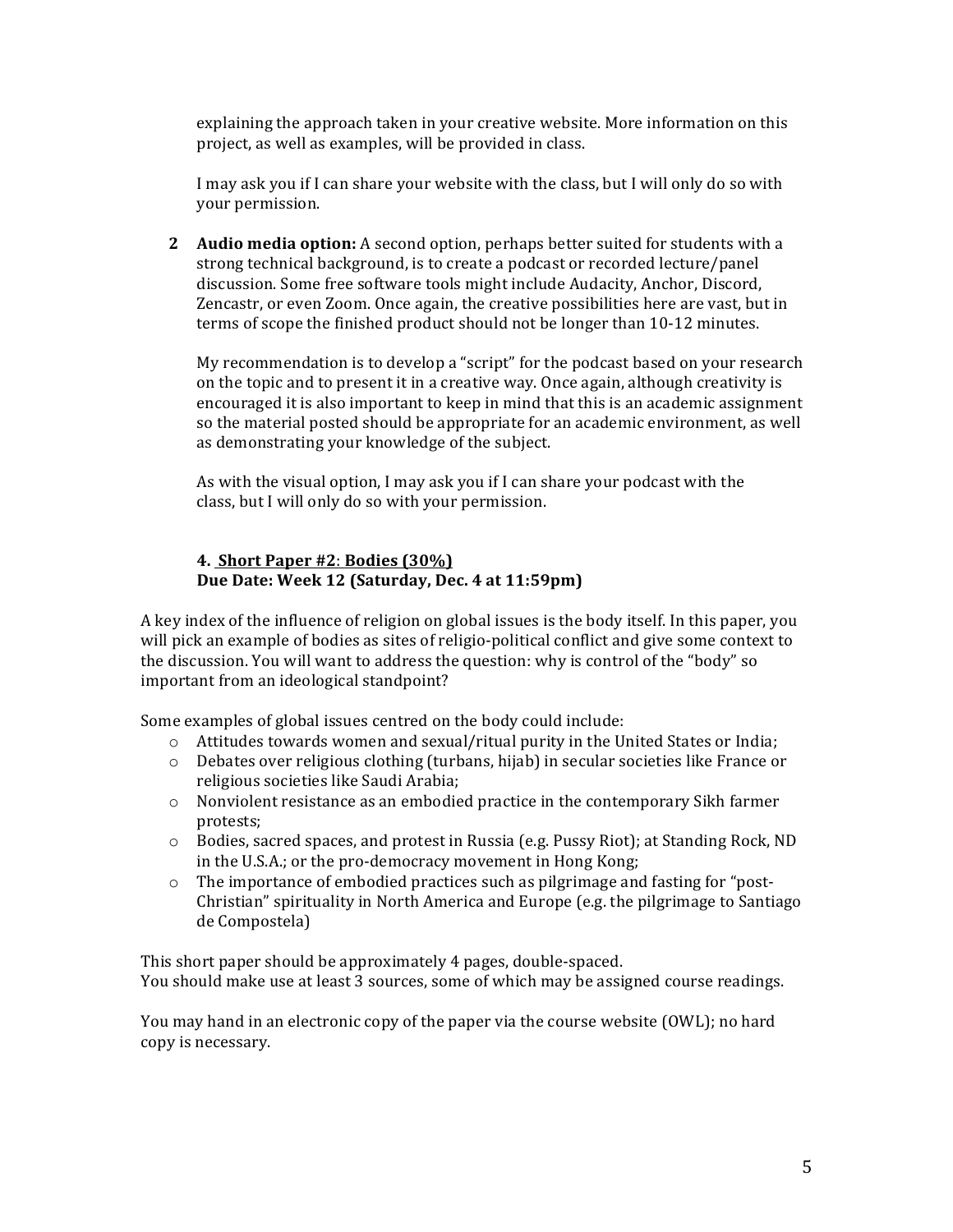explaining the approach taken in your creative website. More information on this project, as well as examples, will be provided in class.

I may ask you if I can share your website with the class, but I will only do so with your permission.

**2 Audio media option:** A second option, perhaps better suited for students with a strong technical background, is to create a podcast or recorded lecture/panel discussion. Some free software tools might include Audacity, Anchor, Discord, Zencastr, or even Zoom. Once again, the creative possibilities here are vast, but in terms of scope the finished product should not be longer than 10-12 minutes.

My recommendation is to develop a "script" for the podcast based on your research on the topic and to present it in a creative way. Once again, although creativity is encouraged it is also important to keep in mind that this is an academic assignment so the material posted should be appropriate for an academic environment, as well as demonstrating your knowledge of the subject.

As with the visual option, I may ask you if I can share your podcast with the class, but I will only do so with your permission.

## **4. Short Paper #2**: **Bodies (30%)** Due Date: Week 12 (Saturday, Dec. 4 at 11:59pm)

A key index of the influence of religion on global issues is the body itself. In this paper, you will pick an example of bodies as sites of religio-political conflict and give some context to the discussion. You will want to address the question: why is control of the "body" so important from an ideological standpoint?

Some examples of global issues centred on the body could include:

- $\circ$  Attitudes towards women and sexual/ritual purity in the United States or India;
- o Debates over religious clothing (turbans, hijab) in secular societies like France or religious societies like Saudi Arabia;
- $\circ$  Nonviolent resistance as an embodied practice in the contemporary Sikh farmer protests;
- $\circ$  Bodies, sacred spaces, and protest in Russia (e.g. Pussy Riot); at Standing Rock, ND in the U.S.A.; or the pro-democracy movement in Hong Kong;
- $\circ$  The importance of embodied practices such as pilgrimage and fasting for "post-Christian" spirituality in North America and Europe (e.g. the pilgrimage to Santiago de Compostela)

This short paper should be approximately 4 pages, double-spaced. You should make use at least 3 sources, some of which may be assigned course readings.

You may hand in an electronic copy of the paper via the course website (OWL); no hard copy is necessary.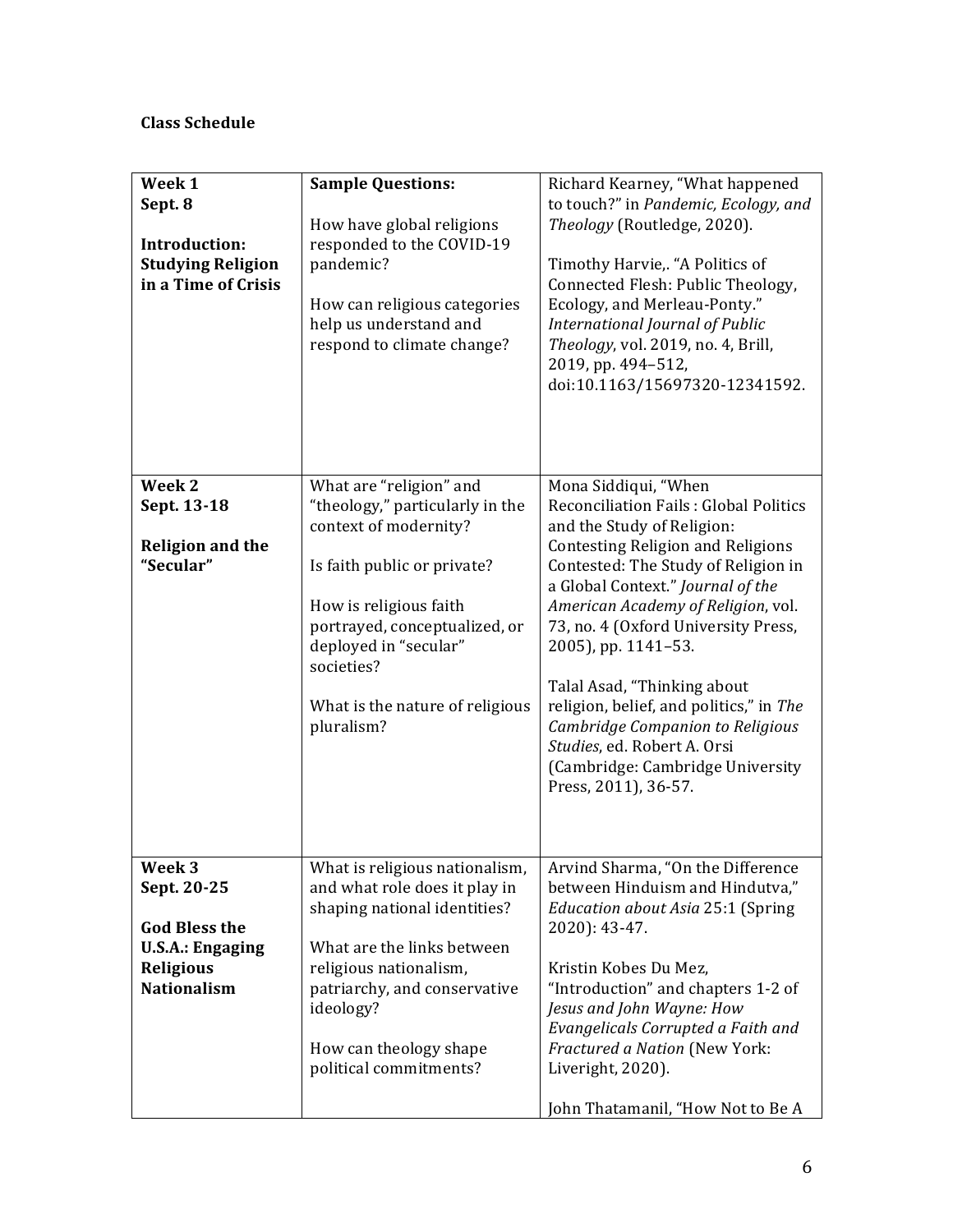# **Class Schedule**

| Week 1<br>Sept. 8<br><b>Introduction:</b><br><b>Studying Religion</b><br>in a Time of Crisis                       | <b>Sample Questions:</b><br>How have global religions<br>responded to the COVID-19<br>pandemic?<br>How can religious categories<br>help us understand and<br>respond to climate change?                                                                               | Richard Kearney, "What happened<br>to touch?" in Pandemic, Ecology, and<br>Theology (Routledge, 2020).<br>Timothy Harvie,. "A Politics of<br>Connected Flesh: Public Theology,<br>Ecology, and Merleau-Ponty."<br>International Journal of Public<br>Theology, vol. 2019, no. 4, Brill,<br>2019, pp. 494-512,<br>doi:10.1163/15697320-12341592.                                                                                                                                                                                         |
|--------------------------------------------------------------------------------------------------------------------|-----------------------------------------------------------------------------------------------------------------------------------------------------------------------------------------------------------------------------------------------------------------------|-----------------------------------------------------------------------------------------------------------------------------------------------------------------------------------------------------------------------------------------------------------------------------------------------------------------------------------------------------------------------------------------------------------------------------------------------------------------------------------------------------------------------------------------|
| Week 2<br>Sept. 13-18<br><b>Religion and the</b><br>"Secular"                                                      | What are "religion" and<br>"theology," particularly in the<br>context of modernity?<br>Is faith public or private?<br>How is religious faith<br>portrayed, conceptualized, or<br>deployed in "secular"<br>societies?<br>What is the nature of religious<br>pluralism? | Mona Siddiqui, "When<br><b>Reconciliation Fails: Global Politics</b><br>and the Study of Religion:<br><b>Contesting Religion and Religions</b><br>Contested: The Study of Religion in<br>a Global Context." Journal of the<br>American Academy of Religion, vol.<br>73, no. 4 (Oxford University Press,<br>2005), pp. 1141-53.<br>Talal Asad, "Thinking about<br>religion, belief, and politics," in The<br>Cambridge Companion to Religious<br>Studies, ed. Robert A. Orsi<br>(Cambridge: Cambridge University<br>Press, 2011), 36-57. |
| Week 3<br>Sept. 20-25<br><b>God Bless the</b><br><b>U.S.A.: Engaging</b><br><b>Religious</b><br><b>Nationalism</b> | What is religious nationalism,<br>and what role does it play in<br>shaping national identities?<br>What are the links between<br>religious nationalism,<br>patriarchy, and conservative<br>ideology?<br>How can theology shape<br>political commitments?              | Arvind Sharma, "On the Difference<br>between Hinduism and Hindutva,"<br>Education about Asia 25:1 (Spring<br>2020): 43-47.<br>Kristin Kobes Du Mez,<br>"Introduction" and chapters 1-2 of<br>Jesus and John Wayne: How<br>Evangelicals Corrupted a Faith and<br>Fractured a Nation (New York:<br>Liveright, 2020).<br>John Thatamanil, "How Not to Be A                                                                                                                                                                                 |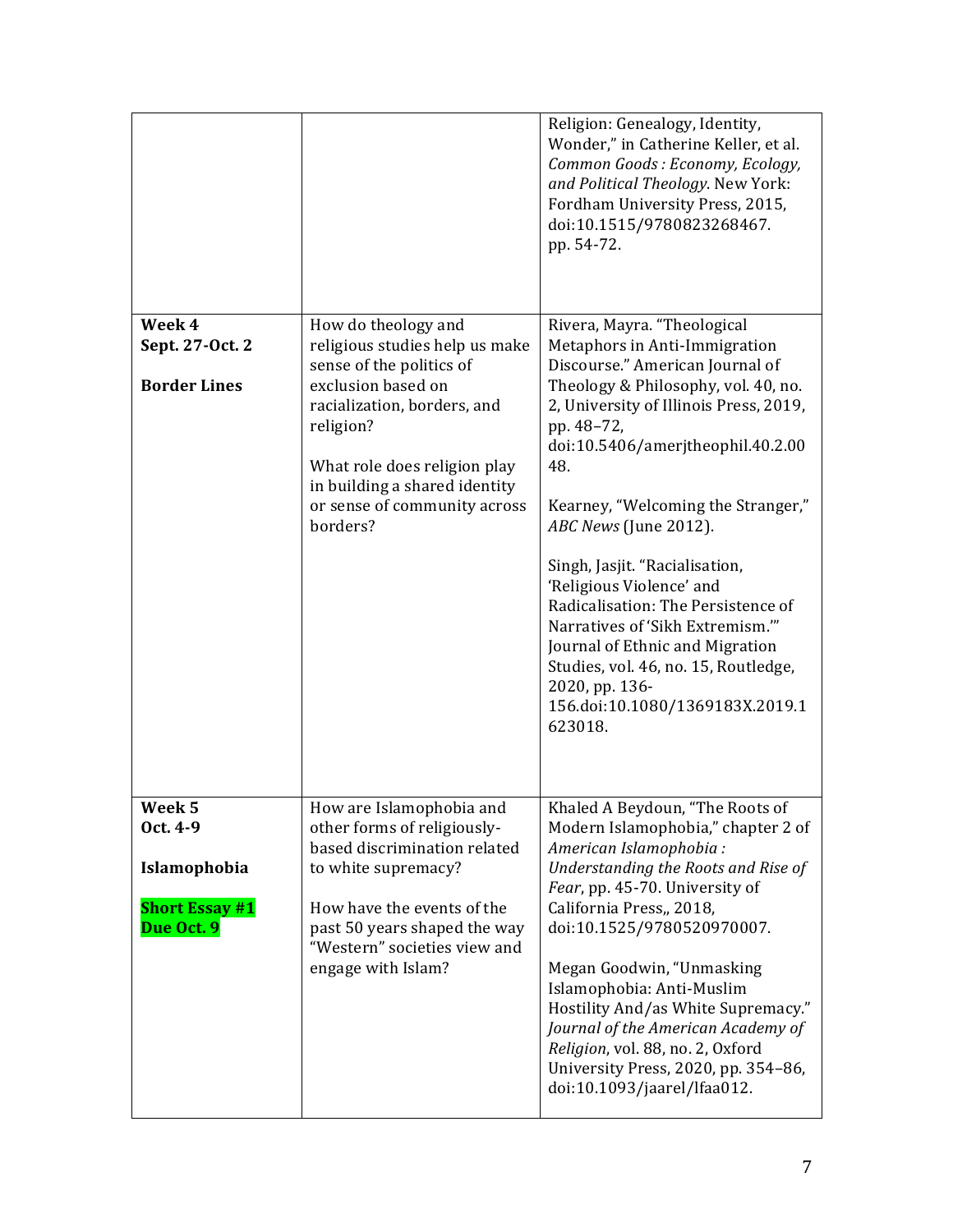|                                                                           |                                                                                                                                                                                                                                                                  | Religion: Genealogy, Identity,<br>Wonder," in Catherine Keller, et al.<br>Common Goods: Economy, Ecology,<br>and Political Theology. New York:<br>Fordham University Press, 2015,<br>doi:10.1515/9780823268467.<br>pp. 54-72.                                                                                                                                                                                                                                                                                                                                                                |
|---------------------------------------------------------------------------|------------------------------------------------------------------------------------------------------------------------------------------------------------------------------------------------------------------------------------------------------------------|----------------------------------------------------------------------------------------------------------------------------------------------------------------------------------------------------------------------------------------------------------------------------------------------------------------------------------------------------------------------------------------------------------------------------------------------------------------------------------------------------------------------------------------------------------------------------------------------|
| Week 4<br>Sept. 27-Oct. 2<br><b>Border Lines</b>                          | How do theology and<br>religious studies help us make<br>sense of the politics of<br>exclusion based on<br>racialization, borders, and<br>religion?<br>What role does religion play<br>in building a shared identity<br>or sense of community across<br>borders? | Rivera, Mayra. "Theological<br>Metaphors in Anti-Immigration<br>Discourse." American Journal of<br>Theology & Philosophy, vol. 40, no.<br>2, University of Illinois Press, 2019,<br>pp. 48-72,<br>doi:10.5406/amerjtheophil.40.2.00<br>48.<br>Kearney, "Welcoming the Stranger,"<br>ABC News (June 2012).<br>Singh, Jasjit. "Racialisation,<br>'Religious Violence' and<br>Radicalisation: The Persistence of<br>Narratives of 'Sikh Extremism.""<br>Journal of Ethnic and Migration<br>Studies, vol. 46, no. 15, Routledge,<br>2020, pp. 136-<br>156.doi:10.1080/1369183X.2019.1<br>623018. |
| Week 5<br>Oct. 4-9<br>Islamophobia<br><b>Short Essay #1</b><br>Due Oct. 9 | How are Islamophobia and<br>other forms of religiously-<br>based discrimination related<br>to white supremacy?<br>How have the events of the<br>past 50 years shaped the way<br>"Western" societies view and<br>engage with Islam?                               | Khaled A Beydoun, "The Roots of<br>Modern Islamophobia," chapter 2 of<br>American Islamophobia:<br>Understanding the Roots and Rise of<br>Fear, pp. 45-70. University of<br>California Press,, 2018,<br>doi:10.1525/9780520970007.<br>Megan Goodwin, "Unmasking<br>Islamophobia: Anti-Muslim<br>Hostility And/as White Supremacy."<br>Journal of the American Academy of<br>Religion, vol. 88, no. 2, Oxford<br>University Press, 2020, pp. 354-86,<br>doi:10.1093/jaarel/lfaa012.                                                                                                           |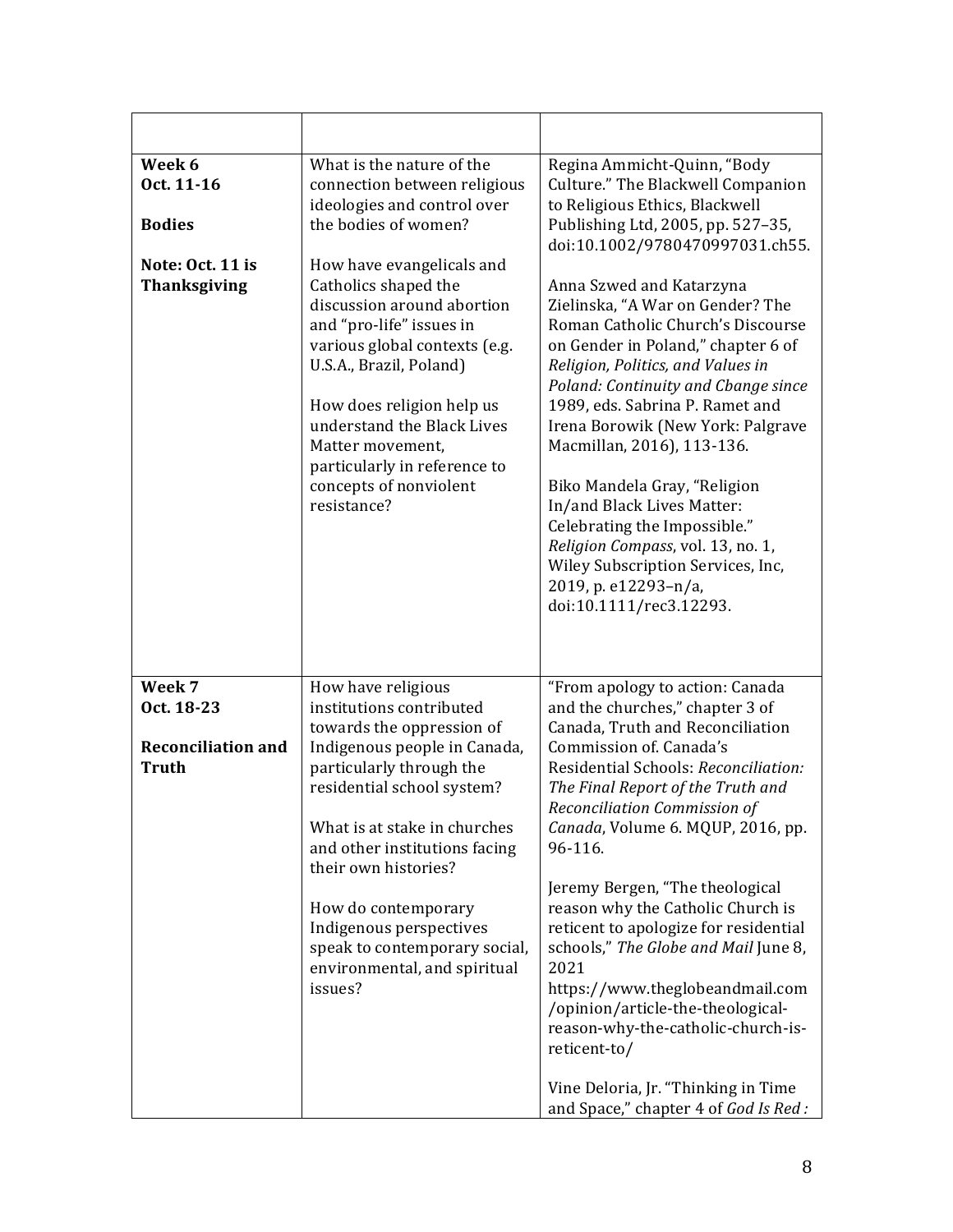| Week 6<br>Oct. 11-16<br><b>Bodies</b><br>Note: Oct. 11 is<br><b>Thanksgiving</b> | What is the nature of the<br>connection between religious<br>ideologies and control over<br>the bodies of women?<br>How have evangelicals and<br>Catholics shaped the<br>discussion around abortion<br>and "pro-life" issues in<br>various global contexts (e.g.<br>U.S.A., Brazil, Poland)<br>How does religion help us<br>understand the Black Lives<br>Matter movement,<br>particularly in reference to<br>concepts of nonviolent<br>resistance? | Regina Ammicht-Quinn, "Body<br>Culture." The Blackwell Companion<br>to Religious Ethics, Blackwell<br>Publishing Ltd, 2005, pp. 527-35,<br>doi:10.1002/9780470997031.ch55.<br>Anna Szwed and Katarzyna<br>Zielinska, "A War on Gender? The<br>Roman Catholic Church's Discourse<br>on Gender in Poland," chapter 6 of<br>Religion, Politics, and Values in<br>Poland: Continuity and Cbange since<br>1989, eds. Sabrina P. Ramet and<br>Irena Borowik (New York: Palgrave<br>Macmillan, 2016), 113-136.<br>Biko Mandela Gray, "Religion<br>In/and Black Lives Matter:<br>Celebrating the Impossible."<br>Religion Compass, vol. 13, no. 1,<br>Wiley Subscription Services, Inc,<br>2019, p. e12293-n/a,<br>doi:10.1111/rec3.12293. |
|----------------------------------------------------------------------------------|-----------------------------------------------------------------------------------------------------------------------------------------------------------------------------------------------------------------------------------------------------------------------------------------------------------------------------------------------------------------------------------------------------------------------------------------------------|------------------------------------------------------------------------------------------------------------------------------------------------------------------------------------------------------------------------------------------------------------------------------------------------------------------------------------------------------------------------------------------------------------------------------------------------------------------------------------------------------------------------------------------------------------------------------------------------------------------------------------------------------------------------------------------------------------------------------------|
| Week 7<br>Oct. 18-23<br><b>Reconciliation and</b><br><b>Truth</b>                | How have religious<br>institutions contributed<br>towards the oppression of<br>Indigenous people in Canada,<br>particularly through the<br>residential school system?<br>What is at stake in churches<br>and other institutions facing<br>their own histories?<br>How do contemporary<br>Indigenous perspectives<br>speak to contemporary social,<br>environmental, and spiritual<br>issues?                                                        | "From apology to action: Canada<br>and the churches," chapter 3 of<br>Canada, Truth and Reconciliation<br>Commission of. Canada's<br>Residential Schools: Reconciliation:<br>The Final Report of the Truth and<br>Reconciliation Commission of<br>Canada, Volume 6. MQUP, 2016, pp.<br>96-116.<br>Jeremy Bergen, "The theological<br>reason why the Catholic Church is<br>reticent to apologize for residential<br>schools," The Globe and Mail June 8,<br>2021<br>https://www.theglobeandmail.com<br>/opinion/article-the-theological-<br>reason-why-the-catholic-church-is-<br>reticent-to/<br>Vine Deloria, Jr. "Thinking in Time<br>and Space," chapter 4 of God Is Red :                                                      |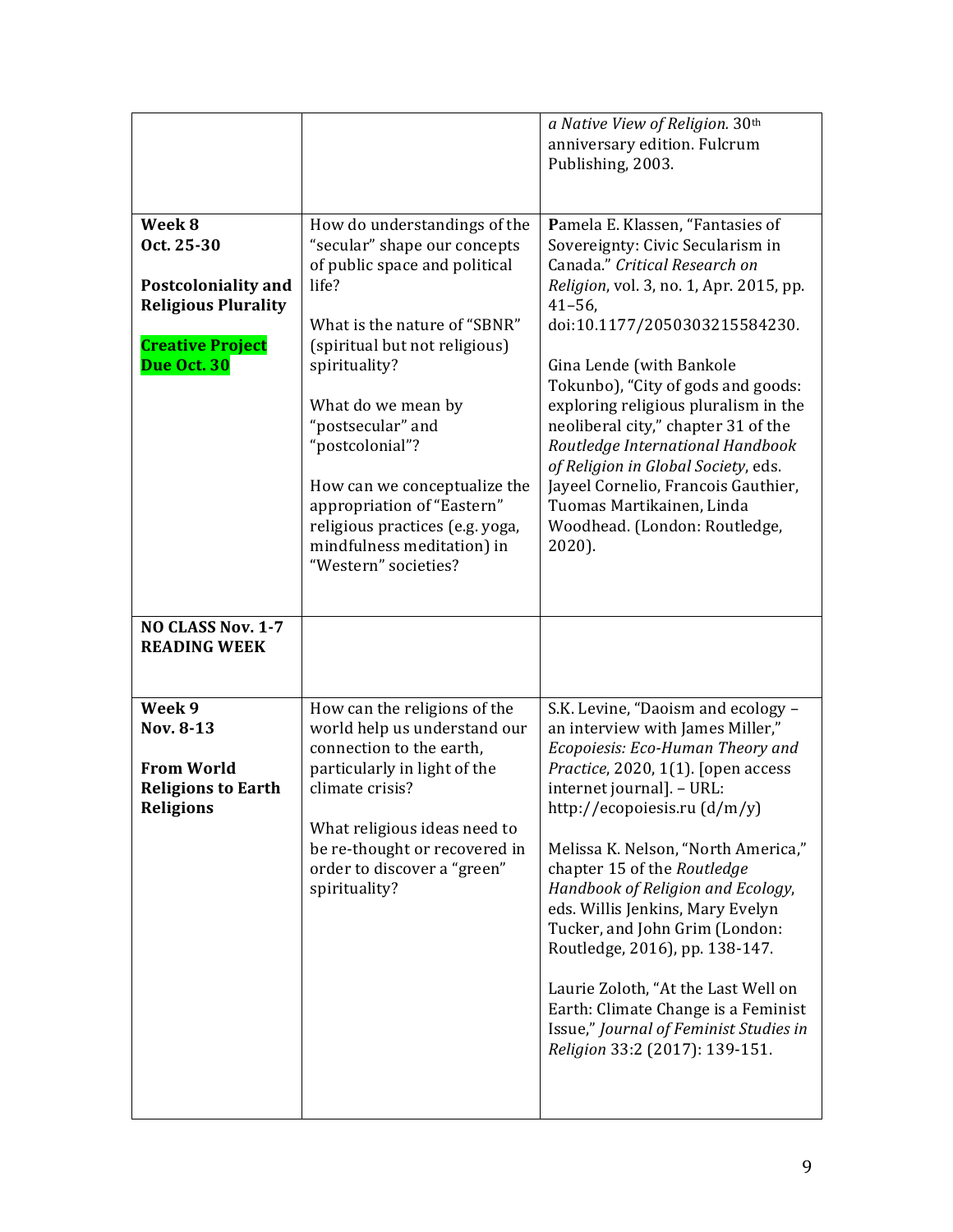|                                                                                                                     |                                                                                                                                                                                                                                                                                                                                                                                                               | a Native View of Religion. 30th<br>anniversary edition. Fulcrum<br>Publishing, 2003.                                                                                                                                                                                                                                                                                                                                                                                                                                                                                                       |
|---------------------------------------------------------------------------------------------------------------------|---------------------------------------------------------------------------------------------------------------------------------------------------------------------------------------------------------------------------------------------------------------------------------------------------------------------------------------------------------------------------------------------------------------|--------------------------------------------------------------------------------------------------------------------------------------------------------------------------------------------------------------------------------------------------------------------------------------------------------------------------------------------------------------------------------------------------------------------------------------------------------------------------------------------------------------------------------------------------------------------------------------------|
| Week 8<br>Oct. 25-30<br>Postcoloniality and<br><b>Religious Plurality</b><br><b>Creative Project</b><br>Due Oct. 30 | How do understandings of the<br>"secular" shape our concepts<br>of public space and political<br>life?<br>What is the nature of "SBNR"<br>(spiritual but not religious)<br>spirituality?<br>What do we mean by<br>"postsecular" and<br>"postcolonial"?<br>How can we conceptualize the<br>appropriation of "Eastern"<br>religious practices (e.g. yoga,<br>mindfulness meditation) in<br>"Western" societies? | Pamela E. Klassen, "Fantasies of<br>Sovereignty: Civic Secularism in<br>Canada." Critical Research on<br>Religion, vol. 3, no. 1, Apr. 2015, pp.<br>$41 - 56$ ,<br>doi:10.1177/2050303215584230.<br>Gina Lende (with Bankole<br>Tokunbo), "City of gods and goods:<br>exploring religious pluralism in the<br>neoliberal city," chapter 31 of the<br>Routledge International Handbook<br>of Religion in Global Society, eds.<br>Jayeel Cornelio, Francois Gauthier,<br>Tuomas Martikainen, Linda<br>Woodhead. (London: Routledge,<br>$2020$ ).                                             |
| <b>NO CLASS Nov. 1-7</b><br><b>READING WEEK</b>                                                                     |                                                                                                                                                                                                                                                                                                                                                                                                               |                                                                                                                                                                                                                                                                                                                                                                                                                                                                                                                                                                                            |
| Week 9<br>Nov. 8-13<br><b>From World</b><br><b>Religions to Earth</b><br><b>Religions</b>                           | How can the religions of the<br>world help us understand our<br>connection to the earth,<br>particularly in light of the<br>climate crisis?<br>What religious ideas need to<br>be re-thought or recovered in<br>order to discover a "green"<br>spirituality?                                                                                                                                                  | S.K. Levine, "Daoism and ecology -<br>an interview with James Miller,"<br>Ecopoiesis: Eco-Human Theory and<br>Practice, 2020, 1(1). [open access<br>internet journal]. - URL:<br>http://ecopoiesis.ru (d/m/y)<br>Melissa K. Nelson, "North America,"<br>chapter 15 of the Routledge<br>Handbook of Religion and Ecology,<br>eds. Willis Jenkins, Mary Evelyn<br>Tucker, and John Grim (London:<br>Routledge, 2016), pp. 138-147.<br>Laurie Zoloth, "At the Last Well on<br>Earth: Climate Change is a Feminist<br>Issue," Journal of Feminist Studies in<br>Religion 33:2 (2017): 139-151. |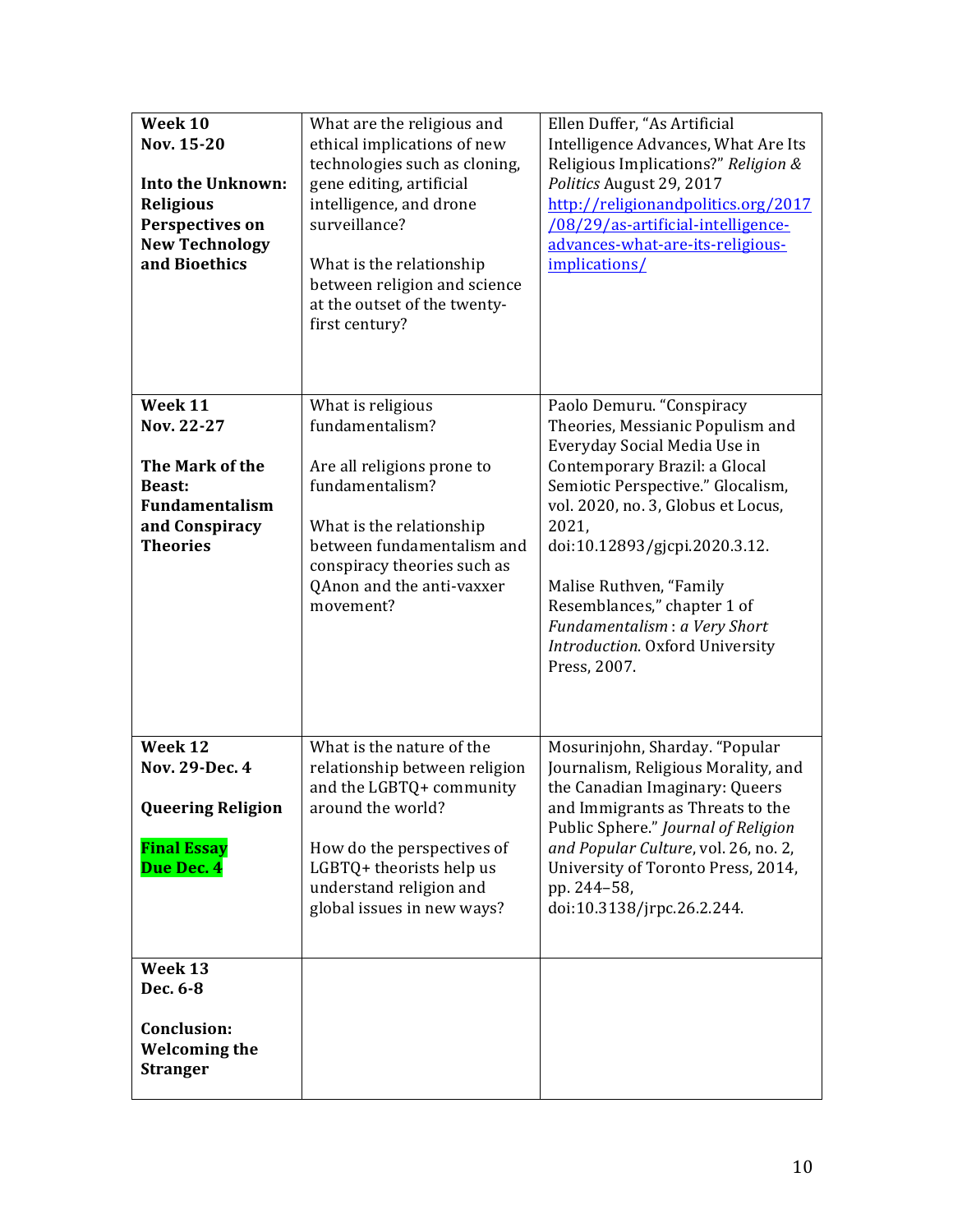| Week 10<br>Nov. 15-20<br><b>Into the Unknown:</b><br><b>Religious</b><br>Perspectives on<br><b>New Technology</b><br>and Bioethics | What are the religious and<br>ethical implications of new<br>technologies such as cloning,<br>gene editing, artificial<br>intelligence, and drone<br>surveillance?<br>What is the relationship<br>between religion and science<br>at the outset of the twenty-<br>first century? | Ellen Duffer, "As Artificial<br>Intelligence Advances, What Are Its<br>Religious Implications?" Religion &<br>Politics August 29, 2017<br>http://religionandpolitics.org/2017<br>/08/29/as-artificial-intelligence-<br>advances-what-are-its-religious-<br>implications/                        |
|------------------------------------------------------------------------------------------------------------------------------------|----------------------------------------------------------------------------------------------------------------------------------------------------------------------------------------------------------------------------------------------------------------------------------|-------------------------------------------------------------------------------------------------------------------------------------------------------------------------------------------------------------------------------------------------------------------------------------------------|
| Week 11<br>Nov. 22-27                                                                                                              | What is religious<br>fundamentalism?                                                                                                                                                                                                                                             | Paolo Demuru. "Conspiracy<br>Theories, Messianic Populism and<br>Everyday Social Media Use in                                                                                                                                                                                                   |
| The Mark of the<br><b>Beast:</b><br><b>Fundamentalism</b><br>and Conspiracy<br><b>Theories</b>                                     | Are all religions prone to<br>fundamentalism?<br>What is the relationship<br>between fundamentalism and<br>conspiracy theories such as<br>QAnon and the anti-vaxxer<br>movement?                                                                                                 | Contemporary Brazil: a Glocal<br>Semiotic Perspective." Glocalism,<br>vol. 2020, no. 3, Globus et Locus,<br>2021,<br>doi:10.12893/gjcpi.2020.3.12.<br>Malise Ruthven, "Family<br>Resemblances," chapter 1 of<br>Fundamentalism: a Very Short<br>Introduction. Oxford University<br>Press, 2007. |
| Week 12<br>Nov. 29-Dec. 4<br><b>Queering Religion</b>                                                                              | What is the nature of the<br>relationship between religion<br>and the LGBTQ+ community<br>around the world?                                                                                                                                                                      | Mosurinjohn, Sharday. "Popular<br>Journalism, Religious Morality, and<br>the Canadian Imaginary: Queers<br>and Immigrants as Threats to the                                                                                                                                                     |
| <b>Final Essay</b><br>Due Dec. 4                                                                                                   | How do the perspectives of<br>LGBTQ+ theorists help us<br>understand religion and<br>global issues in new ways?                                                                                                                                                                  | Public Sphere." Journal of Religion<br>and Popular Culture, vol. 26, no. 2,<br>University of Toronto Press, 2014,<br>pp. 244-58,<br>doi:10.3138/jrpc.26.2.244.                                                                                                                                  |
| Week 13<br>Dec. 6-8<br>Conclusion:<br><b>Welcoming the</b><br><b>Stranger</b>                                                      |                                                                                                                                                                                                                                                                                  |                                                                                                                                                                                                                                                                                                 |
|                                                                                                                                    |                                                                                                                                                                                                                                                                                  |                                                                                                                                                                                                                                                                                                 |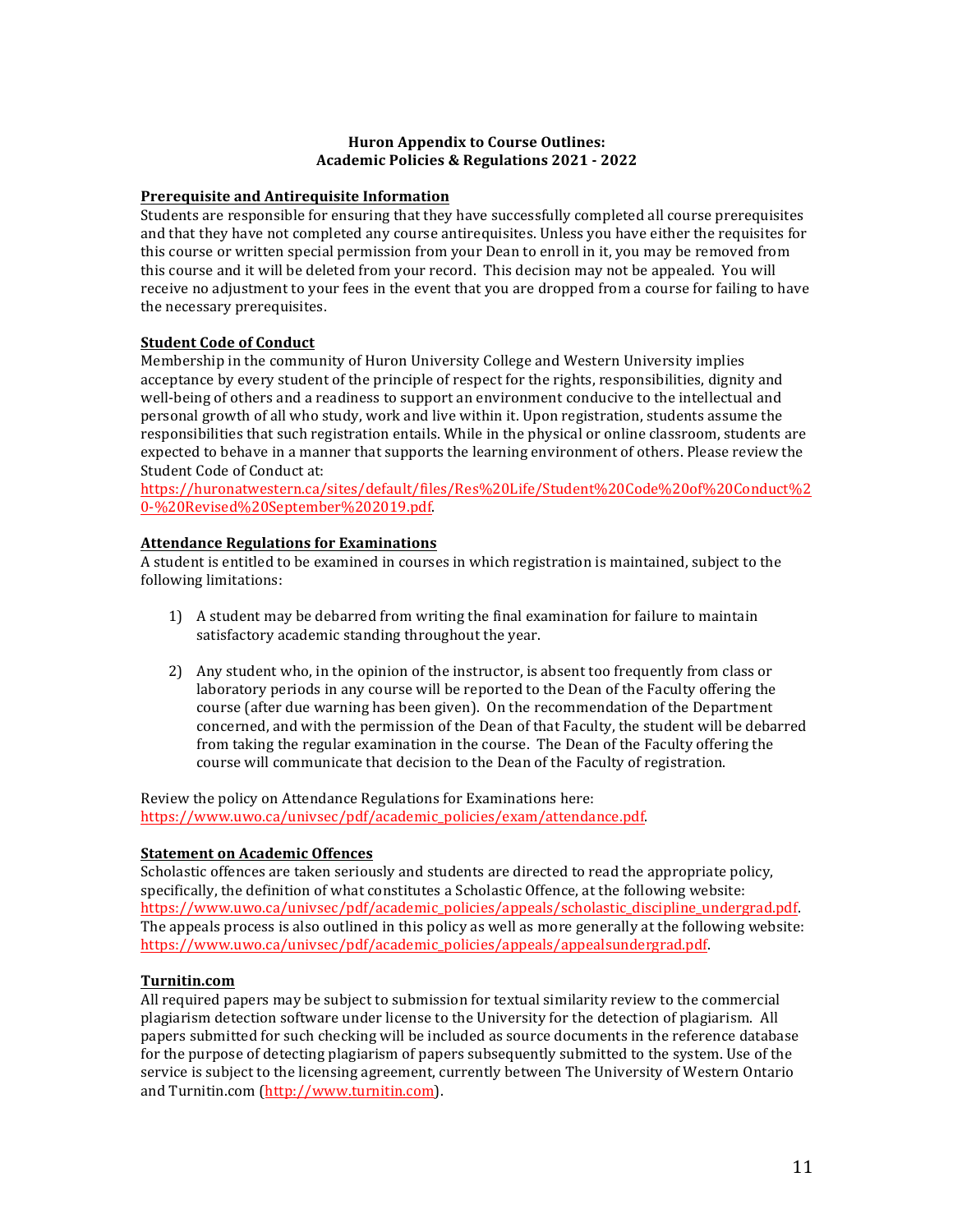#### **Huron Appendix to Course Outlines: Academic Policies & Regulations 2021 - 2022**

### **Prerequisite and Antirequisite Information**

Students are responsible for ensuring that they have successfully completed all course prerequisites and that they have not completed any course antirequisites. Unless you have either the requisites for this course or written special permission from your Dean to enroll in it, you may be removed from this course and it will be deleted from your record. This decision may not be appealed. You will receive no adjustment to your fees in the event that you are dropped from a course for failing to have the necessary prerequisites.

## **Student Code of Conduct**

Membership in the community of Huron University College and Western University implies acceptance by every student of the principle of respect for the rights, responsibilities, dignity and well-being of others and a readiness to support an environment conducive to the intellectual and personal growth of all who study, work and live within it. Upon registration, students assume the responsibilities that such registration entails. While in the physical or online classroom, students are expected to behave in a manner that supports the learning environment of others. Please review the Student Code of Conduct at:

https://huronatwestern.ca/sites/default/files/Res%20Life/Student%20Code%20of%20Conduct%2 0-%20Revised%20September%202019.pdf.

### **Attendance Regulations for Examinations**

A student is entitled to be examined in courses in which registration is maintained, subject to the following limitations:

- 1) A student may be debarred from writing the final examination for failure to maintain satisfactory academic standing throughout the year.
- 2) Any student who, in the opinion of the instructor, is absent too frequently from class or laboratory periods in any course will be reported to the Dean of the Faculty offering the course (after due warning has been given). On the recommendation of the Department concerned, and with the permission of the Dean of that Faculty, the student will be debarred from taking the regular examination in the course. The Dean of the Faculty offering the course will communicate that decision to the Dean of the Faculty of registration.

Review the policy on Attendance Regulations for Examinations here: https://www.uwo.ca/univsec/pdf/academic\_policies/exam/attendance.pdf.

#### **Statement on Academic Offences**

Scholastic offences are taken seriously and students are directed to read the appropriate policy, specifically, the definition of what constitutes a Scholastic Offence, at the following website: https://www.uwo.ca/univsec/pdf/academic\_policies/appeals/scholastic\_discipline\_undergrad.pdf. The appeals process is also outlined in this policy as well as more generally at the following website: https://www.uwo.ca/univsec/pdf/academic\_policies/appeals/appealsundergrad.pdf. 

#### **Turnitin.com**

All required papers may be subject to submission for textual similarity review to the commercial plagiarism detection software under license to the University for the detection of plagiarism. All papers submitted for such checking will be included as source documents in the reference database for the purpose of detecting plagiarism of papers subsequently submitted to the system. Use of the service is subject to the licensing agreement, currently between The University of Western Ontario and Turnitin.com (http://www.turnitin.com).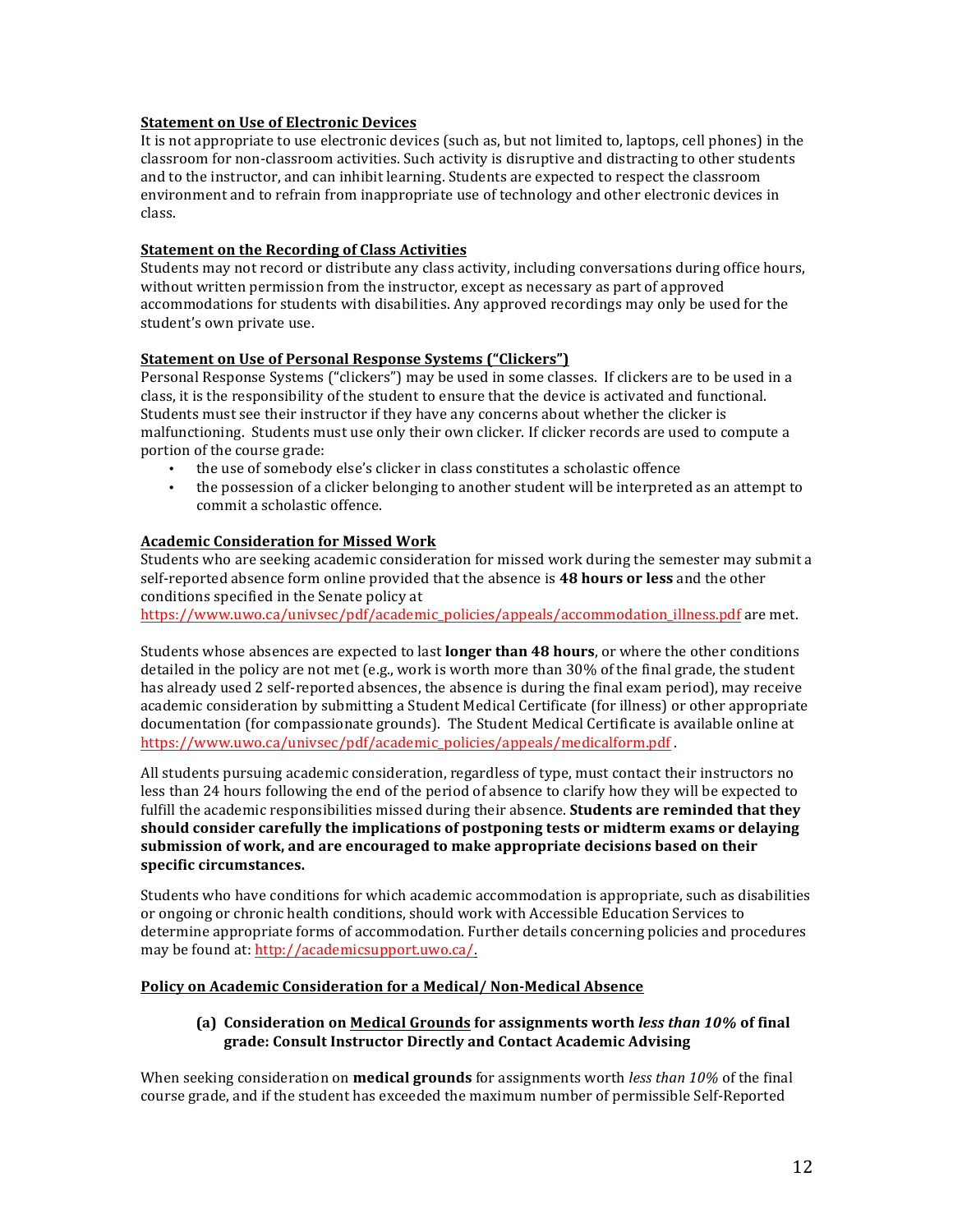#### **Statement on Use of Electronic Devices**

It is not appropriate to use electronic devices (such as, but not limited to, laptops, cell phones) in the classroom for non-classroom activities. Such activity is disruptive and distracting to other students and to the instructor, and can inhibit learning. Students are expected to respect the classroom environment and to refrain from inappropriate use of technology and other electronic devices in class.

#### **Statement on the Recording of Class Activities**

Students may not record or distribute any class activity, including conversations during office hours, without written permission from the instructor, except as necessary as part of approved accommodations for students with disabilities. Any approved recordings may only be used for the student's own private use.

### **Statement on Use of Personal Response Systems ("Clickers")**

Personal Response Systems ("clickers") may be used in some classes. If clickers are to be used in a class, it is the responsibility of the student to ensure that the device is activated and functional. Students must see their instructor if they have any concerns about whether the clicker is malfunctioning. Students must use only their own clicker. If clicker records are used to compute a portion of the course grade:

- the use of somebody else's clicker in class constitutes a scholastic offence
- the possession of a clicker belonging to another student will be interpreted as an attempt to commit a scholastic offence.

### **Academic Consideration for Missed Work**

Students who are seeking academic consideration for missed work during the semester may submit a self-reported absence form online provided that the absence is 48 hours or less and the other conditions specified in the Senate policy at

https://www.uwo.ca/univsec/pdf/academic\_policies/appeals/accommodation\_illness.pdf are met.

Students whose absences are expected to last **longer than 48 hours**, or where the other conditions detailed in the policy are not met (e.g., work is worth more than  $30\%$  of the final grade, the student has already used 2 self-reported absences, the absence is during the final exam period), may receive academic consideration by submitting a Student Medical Certificate (for illness) or other appropriate documentation (for compassionate grounds). The Student Medical Certificate is available online at https://www.uwo.ca/univsec/pdf/academic\_policies/appeals/medicalform.pdf .

All students pursuing academic consideration, regardless of type, must contact their instructors no less than 24 hours following the end of the period of absence to clarify how they will be expected to fulfill the academic responsibilities missed during their absence. **Students are reminded that they** should consider carefully the implications of postponing tests or midterm exams or delaying submission of work, and are encouraged to make appropriate decisions based on their specific circumstances.

Students who have conditions for which academic accommodation is appropriate, such as disabilities or ongoing or chronic health conditions, should work with Accessible Education Services to determine appropriate forms of accommodation. Further details concerning policies and procedures may be found at: http://academicsupport.uwo.ca/.

#### Policy on Academic Consideration for a Medical/ Non-Medical Absence

### **(a)** Consideration on Medical Grounds for assignments worth *less than* 10% of final **grade: Consult Instructor Directly and Contact Academic Advising**

When seeking consideration on **medical grounds** for assignments worth *less than* 10% of the final course grade, and if the student has exceeded the maximum number of permissible Self-Reported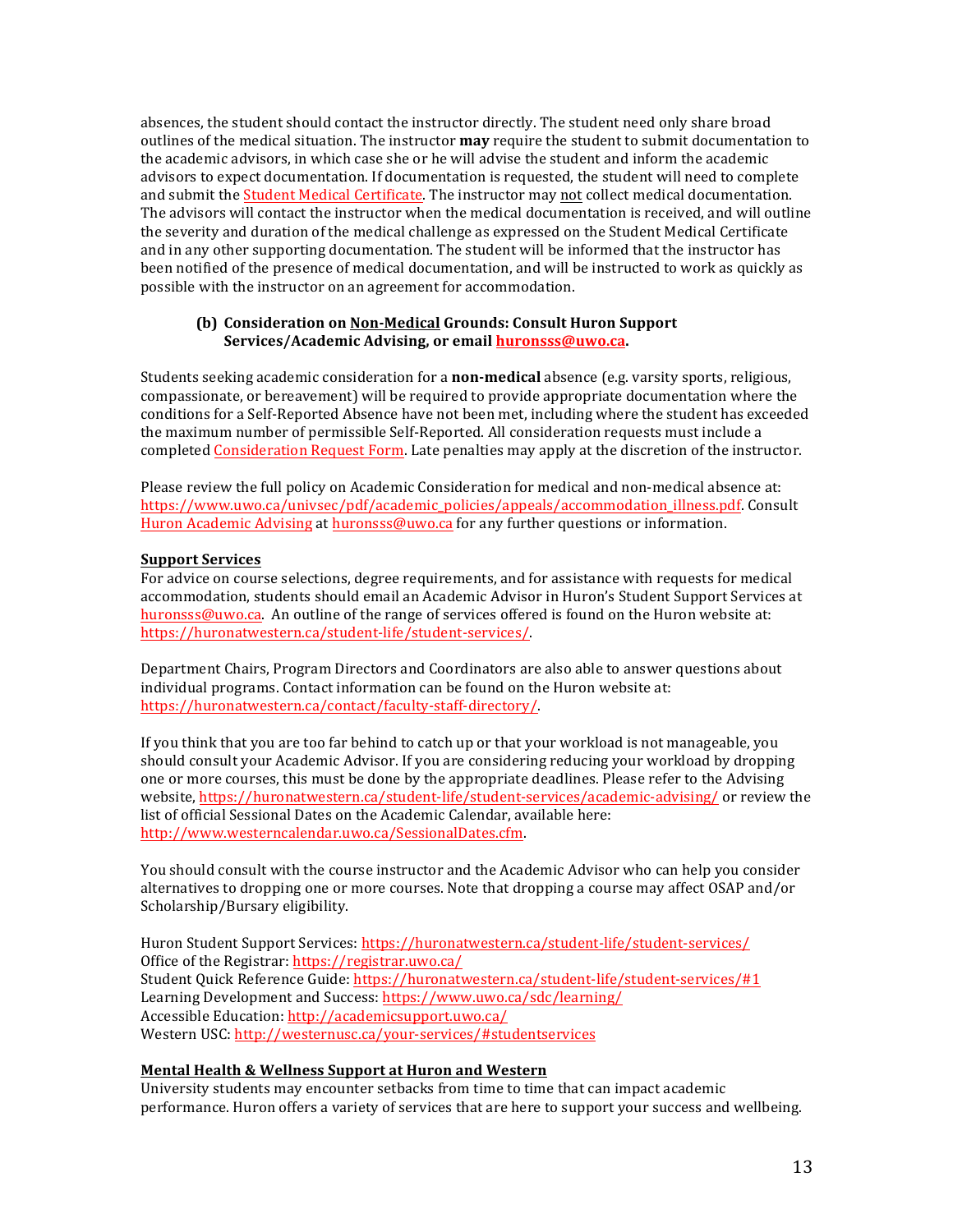absences, the student should contact the instructor directly. The student need only share broad outlines of the medical situation. The instructor **may** require the student to submit documentation to the academic advisors, in which case she or he will advise the student and inform the academic advisors to expect documentation. If documentation is requested, the student will need to complete and submit the Student Medical Certificate. The instructor may not collect medical documentation. The advisors will contact the instructor when the medical documentation is received, and will outline the severity and duration of the medical challenge as expressed on the Student Medical Certificate and in any other supporting documentation. The student will be informed that the instructor has been notified of the presence of medical documentation, and will be instructed to work as quickly as possible with the instructor on an agreement for accommodation.

### **(b)** Consideration on Non-Medical Grounds: Consult Huron Support Services/Academic Advising, or email **huronsss@uwo.ca.**

Students seeking academic consideration for a **non-medical** absence (e.g. varsity sports, religious, compassionate, or bereavement) will be required to provide appropriate documentation where the conditions for a Self-Reported Absence have not been met, including where the student has exceeded the maximum number of permissible Self-Reported. All consideration requests must include a completed Consideration Request Form. Late penalties may apply at the discretion of the instructor.

Please review the full policy on Academic Consideration for medical and non-medical absence at: https://www.uwo.ca/univsec/pdf/academic\_policies/appeals/accommodation\_illness.pdf. Consult Huron Academic Advising at huronsss@uwo.ca for any further questions or information.

### **Support Services**

For advice on course selections, degree requirements, and for assistance with requests for medical accommodation, students should email an Academic Advisor in Huron's Student Support Services at huronsss@uwo.ca. An outline of the range of services offered is found on the Huron website at: https://huronatwestern.ca/student-life/student-services/.

Department Chairs, Program Directors and Coordinators are also able to answer questions about individual programs. Contact information can be found on the Huron website at: https://huronatwestern.ca/contact/faculty-staff-directory/.

If you think that you are too far behind to catch up or that your workload is not manageable, you should consult your Academic Advisor. If you are considering reducing your workload by dropping one or more courses, this must be done by the appropriate deadlines. Please refer to the Advising website, https://huronatwestern.ca/student-life/student-services/academic-advising/ or review the list of official Sessional Dates on the Academic Calendar, available here: http://www.westerncalendar.uwo.ca/SessionalDates.cfm.

You should consult with the course instructor and the Academic Advisor who can help you consider alternatives to dropping one or more courses. Note that dropping a course may affect OSAP and/or Scholarship/Bursary eligibility.

Huron Student Support Services: https://huronatwestern.ca/student-life/student-services/ Office of the Registrar: https://registrar.uwo.ca/ Student Quick Reference Guide: https://huronatwestern.ca/student-life/student-services/#1 Learning Development and Success: https://www.uwo.ca/sdc/learning/ Accessible Education: http://academicsupport.uwo.ca/ Western USC: http://westernusc.ca/your-services/#studentservices

## **Mental Health & Wellness Support at Huron and Western**

University students may encounter setbacks from time to time that can impact academic performance. Huron offers a variety of services that are here to support your success and wellbeing.